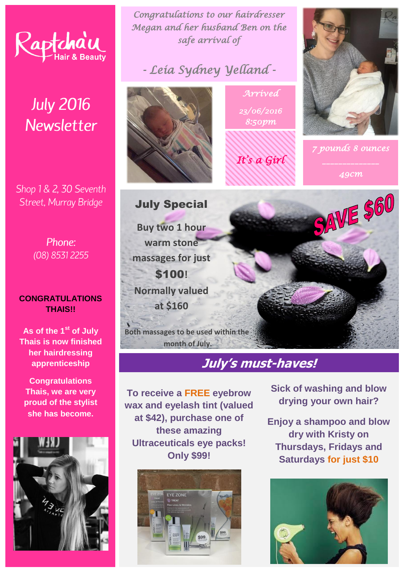

# **July 2016 Newsletter**

Shop 1 & 2, 30 Seventh Street, Murray Bridge

> Phone: (08) 8531 2255

#### **CONGRATULATIONS THAIS!!**

**As of the 1st of July Thais is now finished her hairdressing apprenticeship**

**Congratulations Thais, we are very proud of the stylist she has become.**



*Congratulations to our hairdresser Megan and her husband Ben on the safe arrival of* 

*- Leia Sydney Yelland -* 



*Arrived 23/06/2016 8:50pm* 







SAVE \$60

July Special **Buy two 1 hour warm stone massages for just**  \$100**! Normally valued at \$160**

**Both massages to be used within the month of July.**

### **July's must-haves!**

**To receive a FREE eyebrow wax and eyelash tint (valued at \$42), purchase one of these amazing Ultraceuticals eye packs! Only \$99!**



**Sick of washing and blow drying your own hair?**

**Enjoy a shampoo and blow dry with Kristy on Thursdays, Fridays and Saturdays for just \$10**